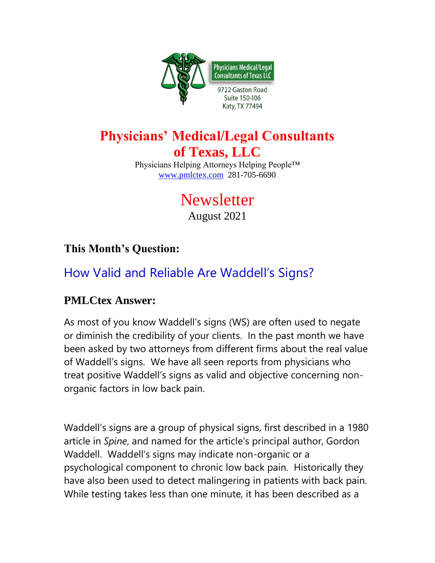

## **Physicians' Medical/Legal Consultants of Texas, LLC**

Physicians Helping Attorneys Helping People™ [www.pmlctex.com](http://www.pmlctex.com/) 281-705-6690

# **Newsletter**

August 2021

### **This Month's Question:**

## How Valid and Reliable Are Waddell's Signs?

#### **PMLCtex Answer:**

As most of you know Waddell's signs (WS) are often used to negate or diminish the credibility of your clients. In the past month we have been asked by two attorneys from different firms about the real value of Waddell's signs. We have all seen reports from physicians who treat positive Waddell's signs as valid and objective concerning nonorganic factors in low back pain.

Waddell's signs are a group of physical signs, first described in a 1980 article in *Spine*, and named for the article's principal author, Gordon Waddell. Waddell's signs may indicate non-organic or a psychological component to chronic low back pain. Historically they have also been used to detect malingering in patients with back pain. While testing takes less than one minute, it has been described as a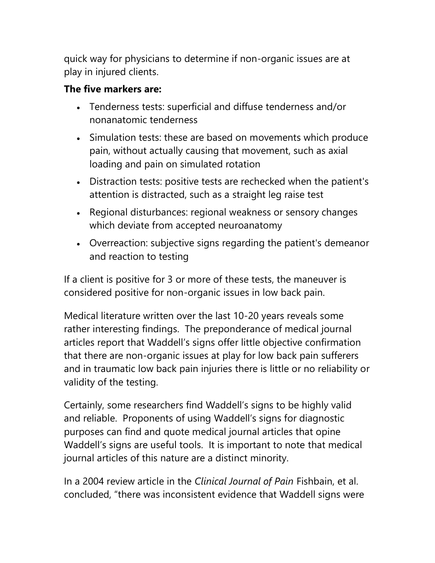quick way for physicians to determine if non-organic issues are at play in injured clients.

#### **The five markers are:**

- Tenderness tests: superficial and diffuse tenderness and/or nonanatomic tenderness
- Simulation tests: these are based on movements which produce pain, without actually causing that movement, such as axial loading and pain on simulated rotation
- Distraction tests: positive tests are rechecked when the patient's attention is distracted, such as a straight leg raise test
- Regional disturbances: regional weakness or sensory changes which deviate from accepted neuroanatomy
- Overreaction: subjective signs regarding the patient's demeanor and reaction to testing

If a client is positive for 3 or more of these tests, the maneuver is considered positive for non-organic issues in low back pain.

Medical literature written over the last 10-20 years reveals some rather interesting findings. The preponderance of medical journal articles report that Waddell's signs offer little objective confirmation that there are non-organic issues at play for low back pain sufferers and in traumatic low back pain injuries there is little or no reliability or validity of the testing.

Certainly, some researchers find Waddell's signs to be highly valid and reliable. Proponents of using Waddell's signs for diagnostic purposes can find and quote medical journal articles that opine Waddell's signs are useful tools. It is important to note that medical journal articles of this nature are a distinct minority.

In a 2004 review article in the *Clinical Journal of Pain* Fishbain, et al. concluded, "there was inconsistent evidence that Waddell signs were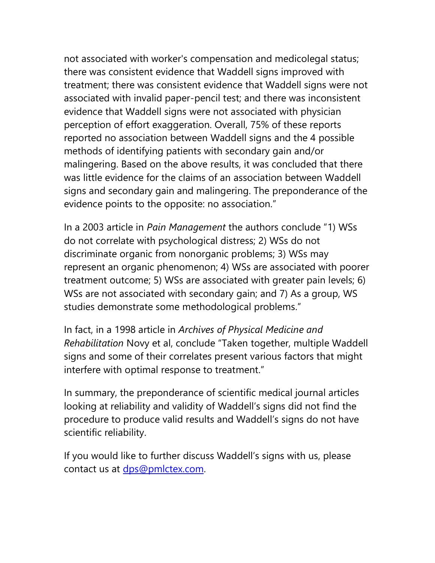not associated with worker's compensation and medicolegal status; there was consistent evidence that Waddell signs improved with treatment; there was consistent evidence that Waddell signs were not associated with invalid paper-pencil test; and there was inconsistent evidence that Waddell signs were not associated with physician perception of effort exaggeration. Overall, 75% of these reports reported no association between Waddell signs and the 4 possible methods of identifying patients with secondary gain and/or malingering. Based on the above results, it was concluded that there was little evidence for the claims of an association between Waddell signs and secondary gain and malingering. The preponderance of the evidence points to the opposite: no association."

In a 2003 article in *Pain Management* the authors conclude "1) WSs do not correlate with psychological distress; 2) WSs do not discriminate organic from nonorganic problems; 3) WSs may represent an organic phenomenon; 4) WSs are associated with poorer treatment outcome; 5) WSs are associated with greater pain levels; 6) WSs are not associated with secondary gain; and 7) As a group, WS studies demonstrate some methodological problems."

In fact, in a 1998 article in *Archives of Physical Medicine and Rehabilitation* Novy et al, conclude "Taken together, multiple Waddell signs and some of their correlates present various factors that might interfere with optimal response to treatment."

In summary, the preponderance of scientific medical journal articles looking at reliability and validity of Waddell's signs did not find the procedure to produce valid results and Waddell's signs do not have scientific reliability.

If you would like to further discuss Waddell's signs with us, please contact us at [dps@pmlctex.com.](mailto:dps@pmlctex.com)